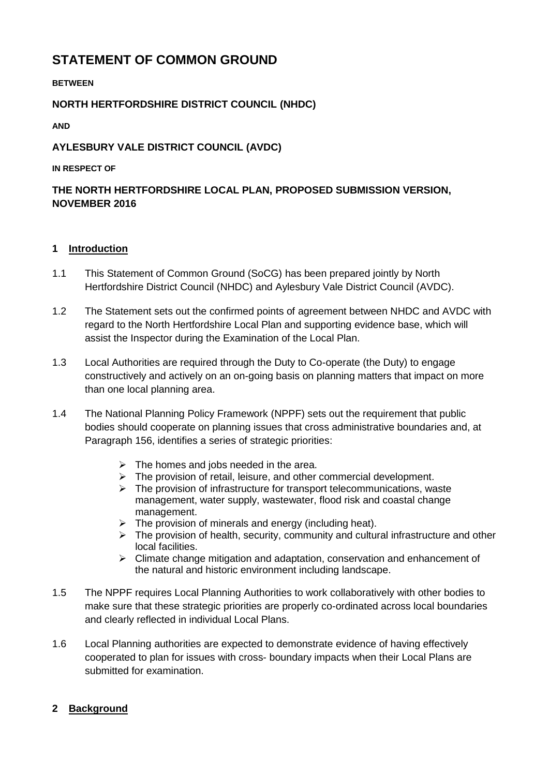# **STATEMENT OF COMMON GROUND**

**BETWEEN** 

# **NORTH HERTFORDSHIRE DISTRICT COUNCIL (NHDC)**

**AND** 

# **AYLESBURY VALE DISTRICT COUNCIL (AVDC)**

#### **IN RESPECT OF**

# **THE NORTH HERTFORDSHIRE LOCAL PLAN, PROPOSED SUBMISSION VERSION, NOVEMBER 2016**

#### **1 Introduction**

- 1.1 This Statement of Common Ground (SoCG) has been prepared jointly by North Hertfordshire District Council (NHDC) and Aylesbury Vale District Council (AVDC).
- 1.2 The Statement sets out the confirmed points of agreement between NHDC and AVDC with regard to the North Hertfordshire Local Plan and supporting evidence base, which will assist the Inspector during the Examination of the Local Plan.
- 1.3 Local Authorities are required through the Duty to Co-operate (the Duty) to engage constructively and actively on an on-going basis on planning matters that impact on more than one local planning area.
- 1.4 The National Planning Policy Framework (NPPF) sets out the requirement that public bodies should cooperate on planning issues that cross administrative boundaries and, at Paragraph 156, identifies a series of strategic priorities:
	- $\triangleright$  The homes and jobs needed in the area.
	- $\triangleright$  The provision of retail, leisure, and other commercial development.
	- $\triangleright$  The provision of infrastructure for transport telecommunications, waste management, water supply, wastewater, flood risk and coastal change management.
	- $\triangleright$  The provision of minerals and energy (including heat).
	- $\triangleright$  The provision of health, security, community and cultural infrastructure and other local facilities.
	- $\triangleright$  Climate change mitigation and adaptation, conservation and enhancement of the natural and historic environment including landscape.
- 1.5 The NPPF requires Local Planning Authorities to work collaboratively with other bodies to make sure that these strategic priorities are properly co-ordinated across local boundaries and clearly reflected in individual Local Plans.
- 1.6 Local Planning authorities are expected to demonstrate evidence of having effectively cooperated to plan for issues with cross- boundary impacts when their Local Plans are submitted for examination.

# **2 Background**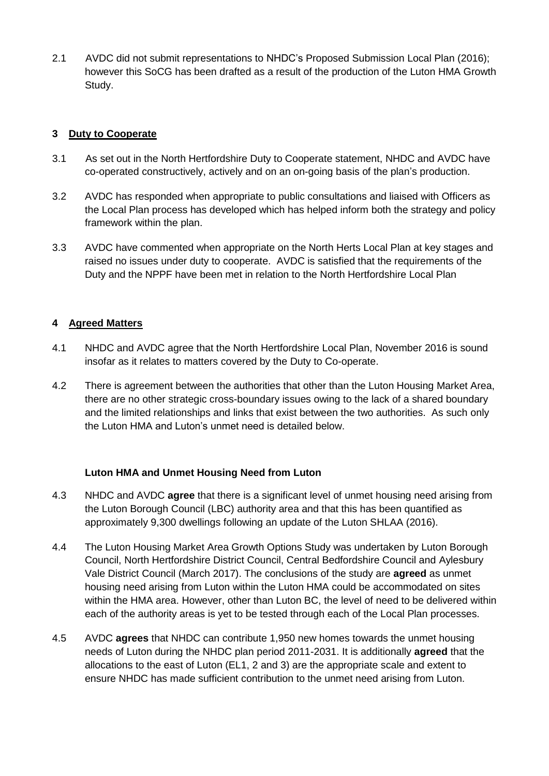2.1 AVDC did not submit representations to NHDC's Proposed Submission Local Plan (2016); however this SoCG has been drafted as a result of the production of the Luton HMA Growth Study.

# **3 Duty to Cooperate**

- 3.1 As set out in the North Hertfordshire Duty to Cooperate statement, NHDC and AVDC have co-operated constructively, actively and on an on-going basis of the plan's production.
- 3.2 AVDC has responded when appropriate to public consultations and liaised with Officers as the Local Plan process has developed which has helped inform both the strategy and policy framework within the plan.
- 3.3 AVDC have commented when appropriate on the North Herts Local Plan at key stages and raised no issues under duty to cooperate. AVDC is satisfied that the requirements of the Duty and the NPPF have been met in relation to the North Hertfordshire Local Plan

# **4 Agreed Matters**

- 4.1 NHDC and AVDC agree that the North Hertfordshire Local Plan, November 2016 is sound insofar as it relates to matters covered by the Duty to Co-operate.
- 4.2 There is agreement between the authorities that other than the Luton Housing Market Area, there are no other strategic cross-boundary issues owing to the lack of a shared boundary and the limited relationships and links that exist between the two authorities. As such only the Luton HMA and Luton's unmet need is detailed below.

# **Luton HMA and Unmet Housing Need from Luton**

- 4.3 NHDC and AVDC **agree** that there is a significant level of unmet housing need arising from the Luton Borough Council (LBC) authority area and that this has been quantified as approximately 9,300 dwellings following an update of the Luton SHLAA (2016).
- 4.4 The Luton Housing Market Area Growth Options Study was undertaken by Luton Borough Council, North Hertfordshire District Council, Central Bedfordshire Council and Aylesbury Vale District Council (March 2017). The conclusions of the study are **agreed** as unmet housing need arising from Luton within the Luton HMA could be accommodated on sites within the HMA area. However, other than Luton BC, the level of need to be delivered within each of the authority areas is yet to be tested through each of the Local Plan processes.
- 4.5 AVDC **agrees** that NHDC can contribute 1,950 new homes towards the unmet housing needs of Luton during the NHDC plan period 2011-2031. It is additionally **agreed** that the allocations to the east of Luton (EL1, 2 and 3) are the appropriate scale and extent to ensure NHDC has made sufficient contribution to the unmet need arising from Luton.